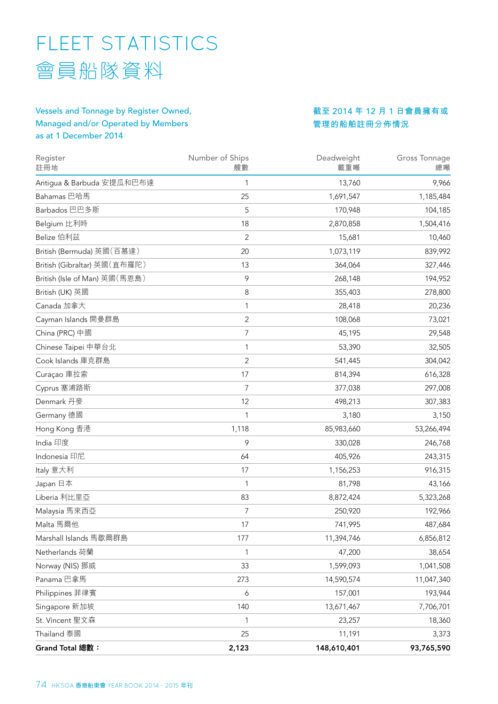# FLEET STATISTICS 會員船隊資料

## Vessels and Tonnage by Register Owned, Managed and/or Operated by Members as at 1 December 2014

**截至** 2014 **年** 12 **月** 1 **日會員擁有或 管理的船舶註冊分佈情況**

| Register<br>註冊地               | Number of Ships<br>艘數 | Deadweight<br>載重噸 | <b>Gross Tonnage</b><br>總噸 |
|-------------------------------|-----------------------|-------------------|----------------------------|
| Antigua & Barbuda 安提瓜和巴布達     | 1                     | 13,760            | 9,966                      |
| Bahamas 巴哈馬                   | 25                    | 1,691,547         | 1,185,484                  |
| Barbados 巴巴多斯                 | 5                     | 170,948           | 104,185                    |
| Belgium 比利時                   | 18                    | 2,870,858         | 1,504,416                  |
| Belize 伯利茲                    | 2                     | 15,681            | 10,460                     |
| British (Bermuda) 英國 (百慕達)    | 20                    | 1,073,119         | 839,992                    |
| British (Gibraltar) 英國 (直布羅陀) | 13                    | 364,064           | 327,446                    |
| British (Isle of Man) 英國(馬恩島) | 9                     | 268,148           | 194,952                    |
| British (UK) 英國               | 8                     | 355,403           | 278,800                    |
| Canada 加拿大                    | 1                     | 28,418            | 20,236                     |
| Cayman Islands 開曼群島           | $\overline{2}$        | 108,068           | 73,021                     |
| China (PRC) 中國                | 7                     | 45,195            | 29,548                     |
| Chinese Taipei 中華台北           | 1                     | 53,390            | 32,505                     |
| Cook Islands 庫克群島             | $\overline{2}$        | 541,445           | 304,042                    |
| Curaçao 庫拉索                   | 17                    | 814,394           | 616,328                    |
| Cyprus 塞浦路斯                   | 7                     | 377,038           | 297,008                    |
| Denmark 丹麥                    | 12                    | 498,213           | 307,383                    |
| Germany 德國                    | 1                     | 3,180             | 3,150                      |
| Hong Kong 香港                  | 1,118                 | 85,983,660        | 53,266,494                 |
| India 印度                      | 9                     | 330,028           | 246,768                    |
| Indonesia 印尼                  | 64                    | 405,926           | 243,315                    |
| Italy 意大利                     | 17                    | 1,156,253         | 916,315                    |
| Japan 日本                      | 1                     | 81,798            | 43,166                     |
| Liberia 利比里亞                  | 83                    | 8,872,424         | 5,323,268                  |
| Malaysia 馬來西亞                 | 7                     | 250,920           | 192,966                    |
| Malta 馬爾他                     | 17                    | 741,995           | 487,684                    |
| Marshall Islands 馬歇爾群島        | 177                   | 11,394,746        | 6,856,812                  |
| Netherlands 荷蘭                | 1                     | 47,200            | 38,654                     |
| Norway (NIS) 挪威               | 33                    | 1,599,093         | 1,041,508                  |
| Panama 巴拿馬                    | 273                   | 14,590,574        | 11,047,340                 |
| Philippines 菲律賓               | 6                     | 157,001           | 193,944                    |
| Singapore 新加坡                 | 140                   | 13,671,467        | 7,706,701                  |
| St. Vincent 聖文森               | 1                     | 23,257            | 18,360                     |
| Thailand 泰國                   | 25                    | 11,191            | 3,373                      |
| Grand Total 總數:               | 2,123                 | 148,610,401       | 93,765,590                 |